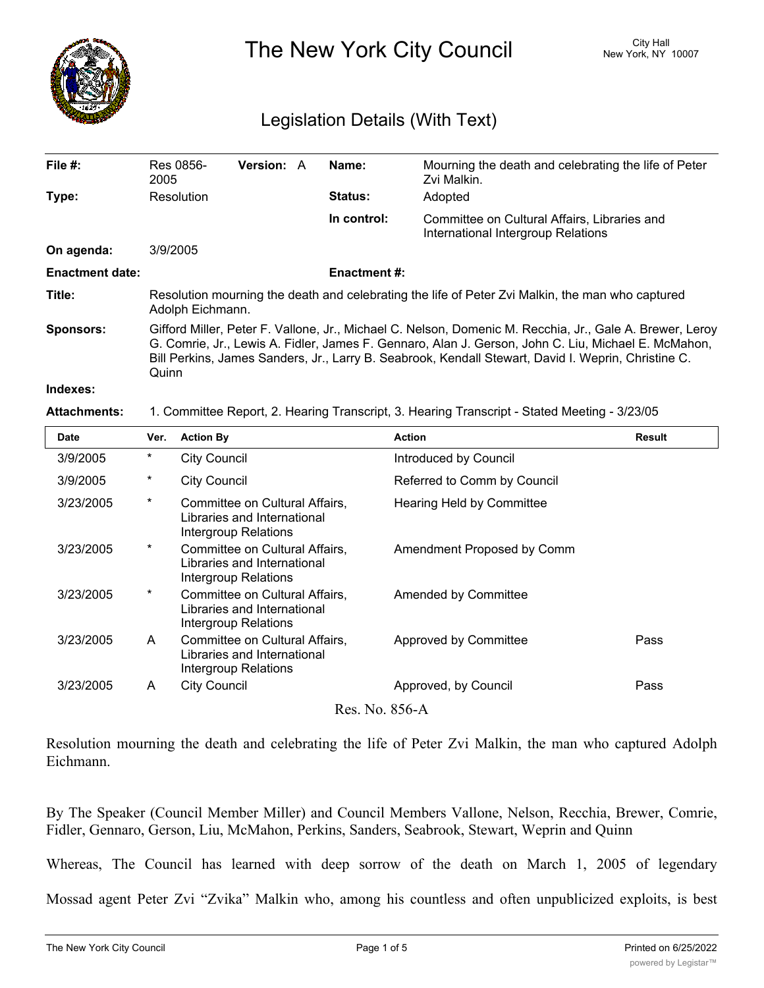

The New York City Council New York, NY 10007

## Legislation Details (With Text)

| File $#$ :             | 2005                                                                                                                                                                                                                                                                                                                            | Res 0856-           | <b>Version: A</b>                                                       |  | Name:               | Mourning the death and celebrating the life of Peter<br>Zvi Malkin.                          |               |  |  |
|------------------------|---------------------------------------------------------------------------------------------------------------------------------------------------------------------------------------------------------------------------------------------------------------------------------------------------------------------------------|---------------------|-------------------------------------------------------------------------|--|---------------------|----------------------------------------------------------------------------------------------|---------------|--|--|
| Type:                  |                                                                                                                                                                                                                                                                                                                                 | Resolution          |                                                                         |  | Status:             | Adopted                                                                                      |               |  |  |
|                        |                                                                                                                                                                                                                                                                                                                                 |                     |                                                                         |  | In control:         | Committee on Cultural Affairs, Libraries and<br>International Intergroup Relations           |               |  |  |
| On agenda:             | 3/9/2005                                                                                                                                                                                                                                                                                                                        |                     |                                                                         |  |                     |                                                                                              |               |  |  |
| <b>Enactment date:</b> |                                                                                                                                                                                                                                                                                                                                 |                     |                                                                         |  | <b>Enactment #:</b> |                                                                                              |               |  |  |
| Title:                 | Resolution mourning the death and celebrating the life of Peter Zvi Malkin, the man who captured<br>Adolph Eichmann.                                                                                                                                                                                                            |                     |                                                                         |  |                     |                                                                                              |               |  |  |
| <b>Sponsors:</b>       | Gifford Miller, Peter F. Vallone, Jr., Michael C. Nelson, Domenic M. Recchia, Jr., Gale A. Brewer, Leroy<br>G. Comrie, Jr., Lewis A. Fidler, James F. Gennaro, Alan J. Gerson, John C. Liu, Michael E. McMahon,<br>Bill Perkins, James Sanders, Jr., Larry B. Seabrook, Kendall Stewart, David I. Weprin, Christine C.<br>Quinn |                     |                                                                         |  |                     |                                                                                              |               |  |  |
| Indexes:               |                                                                                                                                                                                                                                                                                                                                 |                     |                                                                         |  |                     |                                                                                              |               |  |  |
| <b>Attachments:</b>    |                                                                                                                                                                                                                                                                                                                                 |                     |                                                                         |  |                     | 1. Committee Report, 2. Hearing Transcript, 3. Hearing Transcript - Stated Meeting - 3/23/05 |               |  |  |
| <b>Date</b>            | Ver.                                                                                                                                                                                                                                                                                                                            | <b>Action By</b>    |                                                                         |  |                     | <b>Action</b>                                                                                | <b>Result</b> |  |  |
| 3/9/2005               | $^\star$                                                                                                                                                                                                                                                                                                                        | <b>City Council</b> |                                                                         |  |                     | Introduced by Council                                                                        |               |  |  |
| 3/9/2005               | *                                                                                                                                                                                                                                                                                                                               | <b>City Council</b> |                                                                         |  |                     | Referred to Comm by Council                                                                  |               |  |  |
| o ioo iooor            |                                                                                                                                                                                                                                                                                                                                 |                     | $C_{\text{quasim}}$ $\text{Hence}$ and $C_{\text{ultr}}$ $\text{Hence}$ |  |                     | Lleeving Lleld by Composition                                                                |               |  |  |

| 3/23/2005      | $\star$  | Committee on Cultural Affairs,<br>Libraries and International<br>Intergroup Relations | Hearing Held by Committee  |      |  |  |  |  |
|----------------|----------|---------------------------------------------------------------------------------------|----------------------------|------|--|--|--|--|
| 3/23/2005      | $^\ast$  | Committee on Cultural Affairs,<br>Libraries and International<br>Intergroup Relations | Amendment Proposed by Comm |      |  |  |  |  |
| 3/23/2005      | $^\star$ | Committee on Cultural Affairs,<br>Libraries and International<br>Intergroup Relations | Amended by Committee       |      |  |  |  |  |
| 3/23/2005      | A        | Committee on Cultural Affairs,<br>Libraries and International<br>Intergroup Relations | Approved by Committee      | Pass |  |  |  |  |
| 3/23/2005      | A        | City Council                                                                          | Approved, by Council       | Pass |  |  |  |  |
| Res. No. 856-A |          |                                                                                       |                            |      |  |  |  |  |

Resolution mourning the death and celebrating the life of Peter Zvi Malkin, the man who captured Adolph Eichmann.

By The Speaker (Council Member Miller) and Council Members Vallone, Nelson, Recchia, Brewer, Comrie, Fidler, Gennaro, Gerson, Liu, McMahon, Perkins, Sanders, Seabrook, Stewart, Weprin and Quinn

Whereas, The Council has learned with deep sorrow of the death on March 1, 2005 of legendary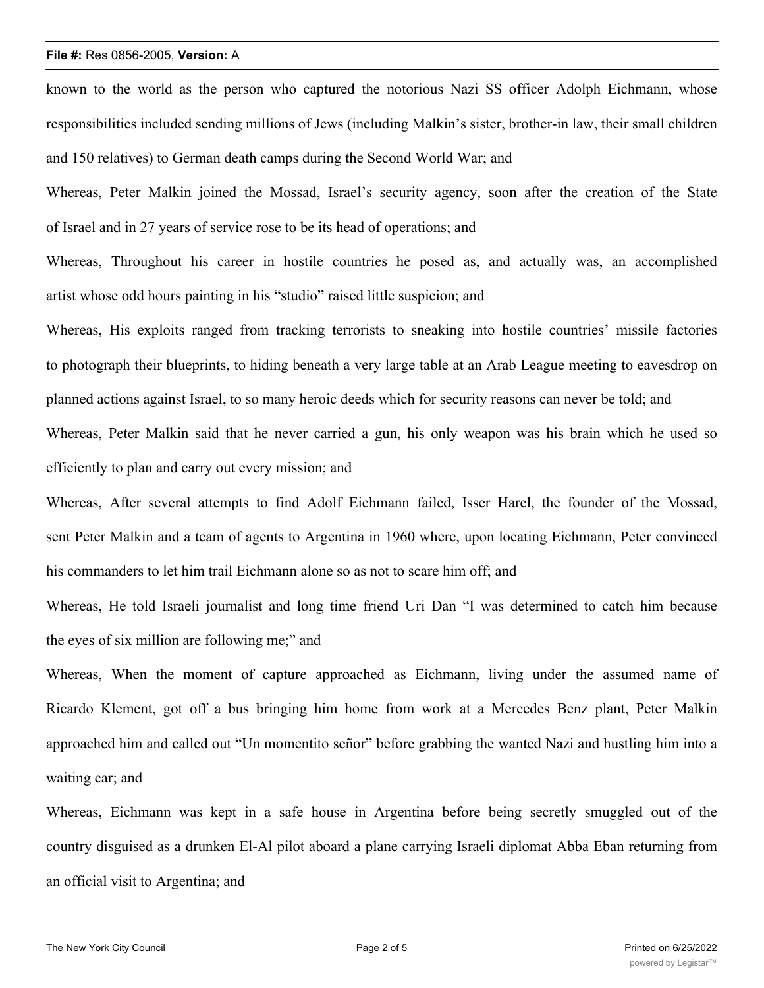## **File #:** Res 0856-2005, **Version:** A

known to the world as the person who captured the notorious Nazi SS officer Adolph Eichmann, whose responsibilities included sending millions of Jews (including Malkin's sister, brother-in law, their small children and 150 relatives) to German death camps during the Second World War; and

Whereas, Peter Malkin joined the Mossad, Israel's security agency, soon after the creation of the State of Israel and in 27 years of service rose to be its head of operations; and

Whereas, Throughout his career in hostile countries he posed as, and actually was, an accomplished artist whose odd hours painting in his "studio" raised little suspicion; and

Whereas, His exploits ranged from tracking terrorists to sneaking into hostile countries' missile factories to photograph their blueprints, to hiding beneath a very large table at an Arab League meeting to eavesdrop on planned actions against Israel, to so many heroic deeds which for security reasons can never be told; and Whereas, Peter Malkin said that he never carried a gun, his only weapon was his brain which he used so efficiently to plan and carry out every mission; and

Whereas, After several attempts to find Adolf Eichmann failed, Isser Harel, the founder of the Mossad, sent Peter Malkin and a team of agents to Argentina in 1960 where, upon locating Eichmann, Peter convinced his commanders to let him trail Eichmann alone so as not to scare him off; and

Whereas, He told Israeli journalist and long time friend Uri Dan "I was determined to catch him because the eyes of six million are following me;" and

Whereas, When the moment of capture approached as Eichmann, living under the assumed name of Ricardo Klement, got off a bus bringing him home from work at a Mercedes Benz plant, Peter Malkin approached him and called out "Un momentito señor" before grabbing the wanted Nazi and hustling him into a waiting car; and

Whereas, Eichmann was kept in a safe house in Argentina before being secretly smuggled out of the country disguised as a drunken El-Al pilot aboard a plane carrying Israeli diplomat Abba Eban returning from an official visit to Argentina; and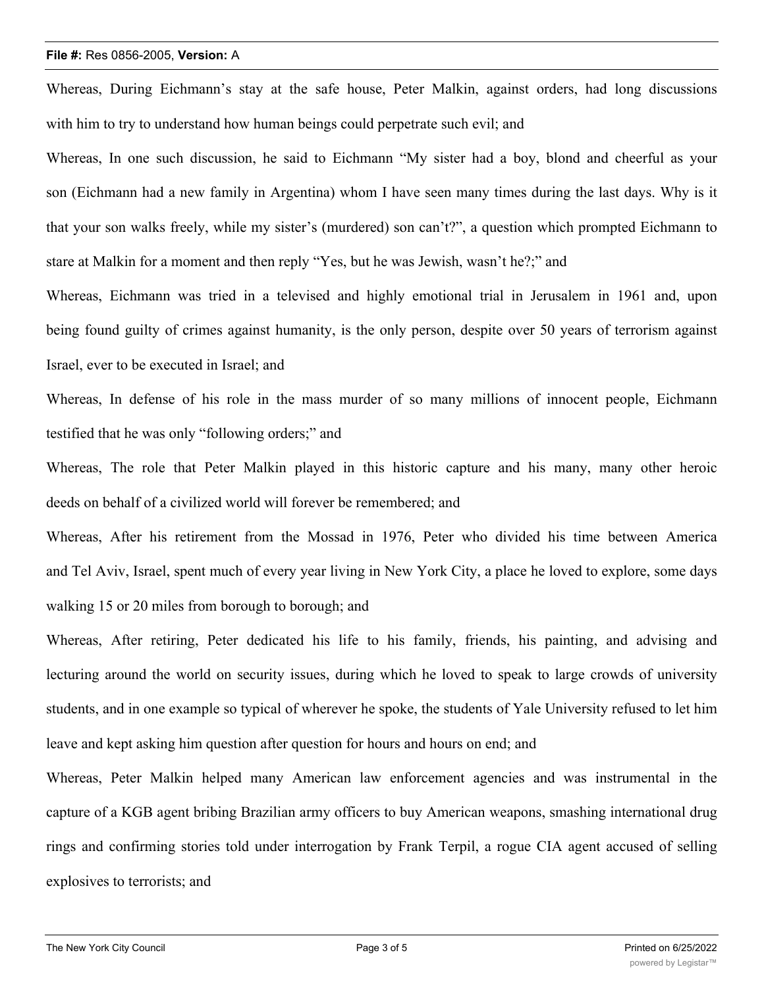## **File #:** Res 0856-2005, **Version:** A

Whereas, During Eichmann's stay at the safe house, Peter Malkin, against orders, had long discussions with him to try to understand how human beings could perpetrate such evil; and

Whereas, In one such discussion, he said to Eichmann "My sister had a boy, blond and cheerful as your son (Eichmann had a new family in Argentina) whom I have seen many times during the last days. Why is it that your son walks freely, while my sister's (murdered) son can't?", a question which prompted Eichmann to stare at Malkin for a moment and then reply "Yes, but he was Jewish, wasn't he?;" and

Whereas, Eichmann was tried in a televised and highly emotional trial in Jerusalem in 1961 and, upon being found guilty of crimes against humanity, is the only person, despite over 50 years of terrorism against Israel, ever to be executed in Israel; and

Whereas, In defense of his role in the mass murder of so many millions of innocent people, Eichmann testified that he was only "following orders;" and

Whereas, The role that Peter Malkin played in this historic capture and his many, many other heroic deeds on behalf of a civilized world will forever be remembered; and

Whereas, After his retirement from the Mossad in 1976, Peter who divided his time between America and Tel Aviv, Israel, spent much of every year living in New York City, a place he loved to explore, some days walking 15 or 20 miles from borough to borough; and

Whereas, After retiring, Peter dedicated his life to his family, friends, his painting, and advising and lecturing around the world on security issues, during which he loved to speak to large crowds of university students, and in one example so typical of wherever he spoke, the students of Yale University refused to let him leave and kept asking him question after question for hours and hours on end; and

Whereas, Peter Malkin helped many American law enforcement agencies and was instrumental in the capture of a KGB agent bribing Brazilian army officers to buy American weapons, smashing international drug rings and confirming stories told under interrogation by Frank Terpil, a rogue CIA agent accused of selling explosives to terrorists; and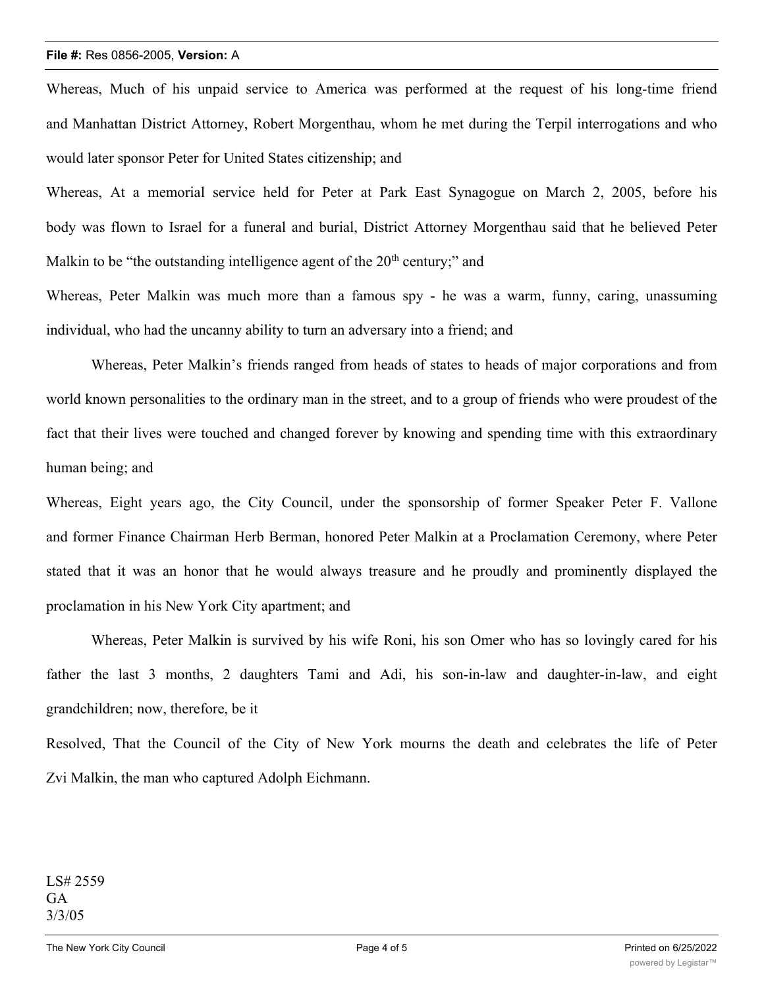## **File #:** Res 0856-2005, **Version:** A

Whereas, Much of his unpaid service to America was performed at the request of his long-time friend and Manhattan District Attorney, Robert Morgenthau, whom he met during the Terpil interrogations and who would later sponsor Peter for United States citizenship; and

Whereas, At a memorial service held for Peter at Park East Synagogue on March 2, 2005, before his body was flown to Israel for a funeral and burial, District Attorney Morgenthau said that he believed Peter Malkin to be "the outstanding intelligence agent of the  $20<sup>th</sup>$  century;" and

Whereas, Peter Malkin was much more than a famous spy - he was a warm, funny, caring, unassuming individual, who had the uncanny ability to turn an adversary into a friend; and

Whereas, Peter Malkin's friends ranged from heads of states to heads of major corporations and from world known personalities to the ordinary man in the street, and to a group of friends who were proudest of the fact that their lives were touched and changed forever by knowing and spending time with this extraordinary human being; and

Whereas, Eight years ago, the City Council, under the sponsorship of former Speaker Peter F. Vallone and former Finance Chairman Herb Berman, honored Peter Malkin at a Proclamation Ceremony, where Peter stated that it was an honor that he would always treasure and he proudly and prominently displayed the proclamation in his New York City apartment; and

Whereas, Peter Malkin is survived by his wife Roni, his son Omer who has so lovingly cared for his father the last 3 months, 2 daughters Tami and Adi, his son-in-law and daughter-in-law, and eight grandchildren; now, therefore, be it

Resolved, That the Council of the City of New York mourns the death and celebrates the life of Peter Zvi Malkin, the man who captured Adolph Eichmann.